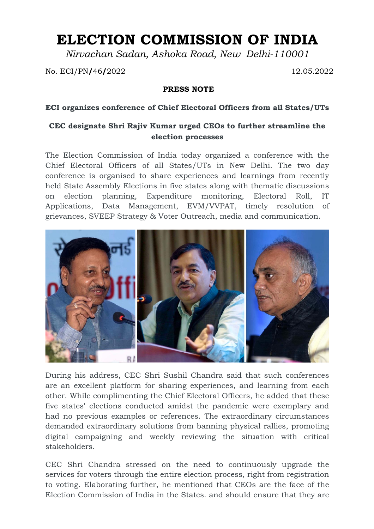## **ELECTION COMMISSION OF INDIA**

*Nirvachan Sadan, Ashoka Road, New Delhi-110001*

No. ECI/PN**/**46**/**2022 12.05.2022

## **PRESS NOTE**

## **ECI organizes conference of Chief Electoral Officers from all States/UTs**

## **CEC designate Shri Rajiv Kumar urged CEOs to further streamline the election processes**

The Election Commission of India today organized a conference with the Chief Electoral Officers of all States/UTs in New Delhi. The two day conference is organised to share experiences and learnings from recently held State Assembly Elections in five states along with thematic discussions on election planning, Expenditure monitoring, Electoral Roll, IT Applications, Data Management, EVM/VVPAT, timely resolution of grievances, SVEEP Strategy & Voter Outreach, media and communication.



During his address, CEC Shri Sushil Chandra said that such conferences are an excellent platform for sharing experiences, and learning from each other. While complimenting the Chief Electoral Officers, he added that these five states' elections conducted amidst the pandemic were exemplary and had no previous examples or references. The extraordinary circumstances demanded extraordinary solutions from banning physical rallies, promoting digital campaigning and weekly reviewing the situation with critical stakeholders.

CEC Shri Chandra stressed on the need to continuously upgrade the services for voters through the entire election process, right from registration to voting. Elaborating further, he mentioned that CEOs are the face of the Election Commission of India in the States. and should ensure that they are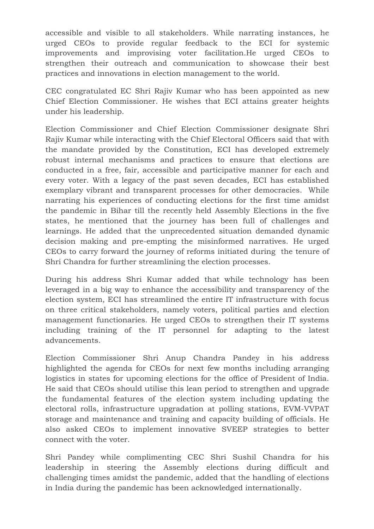accessible and visible to all stakeholders. While narrating instances, he urged CEOs to provide regular feedback to the ECI for systemic improvements and improvising voter facilitation.He urged CEOs to strengthen their outreach and communication to showcase their best practices and innovations in election management to the world.

CEC congratulated EC Shri Rajiv Kumar who has been appointed as new Chief Election Commissioner. He wishes that ECI attains greater heights under his leadership.

Election Commissioner and Chief Election Commissioner designate Shri Rajiv Kumar while interacting with the Chief Electoral Officers said that with the mandate provided by the Constitution, ECI has developed extremely robust internal mechanisms and practices to ensure that elections are conducted in a free, fair, accessible and participative manner for each and every voter. With a legacy of the past seven decades, ECI has established exemplary vibrant and transparent processes for other democracies. While narrating his experiences of conducting elections for the first time amidst the pandemic in Bihar till the recently held Assembly Elections in the five states, he mentioned that the journey has been full of challenges and learnings. He added that the unprecedented situation demanded dynamic decision making and pre-empting the misinformed narratives. He urged CEOs to carry forward the journey of reforms initiated during the tenure of Shri Chandra for further streamlining the election processes.

During his address Shri Kumar added that while technology has been leveraged in a big way to enhance the accessibility and transparency of the election system, ECI has streamlined the entire IT infrastructure with focus on three critical stakeholders, namely voters, political parties and election management functionaries. He urged CEOs to strengthen their IT systems including training of the IT personnel for adapting to the latest advancements.

Election Commissioner Shri Anup Chandra Pandey in his address highlighted the agenda for CEOs for next few months including arranging logistics in states for upcoming elections for the office of President of India. He said that CEOs should utilise this lean period to strengthen and upgrade the fundamental features of the election system including updating the electoral rolls, infrastructure upgradation at polling stations, EVM-VVPAT storage and maintenance and training and capacity building of officials. He also asked CEOs to implement innovative SVEEP strategies to better connect with the voter.

Shri Pandey while complimenting CEC Shri Sushil Chandra for his leadership in steering the Assembly elections during difficult and challenging times amidst the pandemic, added that the handling of elections in India during the pandemic has been acknowledged internationally.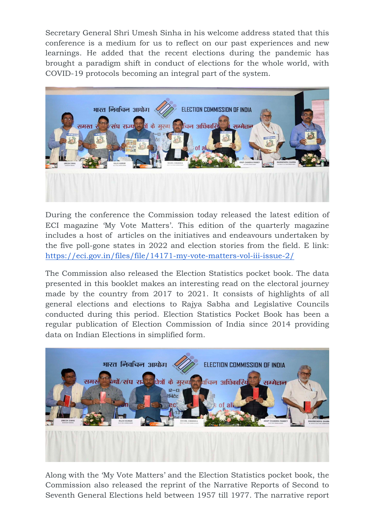Secretary General Shri Umesh Sinha in his welcome address stated that this conference is a medium for us to reflect on our past experiences and new learnings. He added that the recent elections during the pandemic has brought a paradigm shift in conduct of elections for the whole world, with COVID-19 protocols becoming an integral part of the system.



During the conference the Commission today released the latest edition of ECI magazine 'My Vote Matters'. This edition of the quarterly magazine includes a host of articles on the initiatives and endeavours undertaken by the five poll-gone states in 2022 and election stories from the field. E link: https://eci.gov.in/files/file/14171-my-vote-matters-vol-iii-issue-2/

The Commission also released the Election Statistics pocket book. The data presented in this booklet makes an interesting read on the electoral journey made by the country from 2017 to 2021. It consists of highlights of all general elections and elections to Rajya Sabha and Legislative Councils conducted during this period. Election Statistics Pocket Book has been a regular publication of Election Commission of India since 2014 providing data on Indian Elections in simplified form.



Along with the 'My Vote Matters' and the Election Statistics pocket book, the Commission also released the reprint of the Narrative Reports of Second to Seventh General Elections held between 1957 till 1977. The narrative report